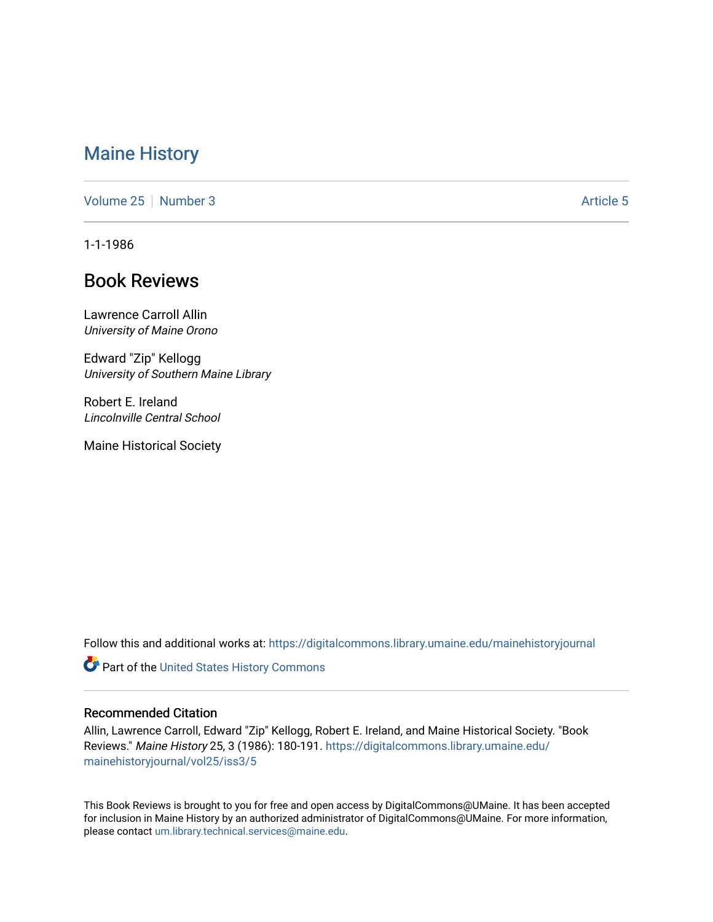## [Maine History](https://digitalcommons.library.umaine.edu/mainehistoryjournal)

[Volume 25](https://digitalcommons.library.umaine.edu/mainehistoryjournal/vol25) [Number 3](https://digitalcommons.library.umaine.edu/mainehistoryjournal/vol25/iss3) [Article 5](https://digitalcommons.library.umaine.edu/mainehistoryjournal/vol25/iss3/5) Article 5

1-1-1986

# Book Reviews

Lawrence Carroll Allin University of Maine Orono

Edward "Zip" Kellogg University of Southern Maine Library

Robert E. Ireland Lincolnville Central School

Maine Historical Society

Follow this and additional works at: [https://digitalcommons.library.umaine.edu/mainehistoryjournal](https://digitalcommons.library.umaine.edu/mainehistoryjournal?utm_source=digitalcommons.library.umaine.edu%2Fmainehistoryjournal%2Fvol25%2Fiss3%2F5&utm_medium=PDF&utm_campaign=PDFCoverPages) 

**Part of the United States History Commons** 

#### Recommended Citation

Allin, Lawrence Carroll, Edward "Zip" Kellogg, Robert E. Ireland, and Maine Historical Society. "Book Reviews." Maine History 25, 3 (1986): 180-191. [https://digitalcommons.library.umaine.edu/](https://digitalcommons.library.umaine.edu/mainehistoryjournal/vol25/iss3/5?utm_source=digitalcommons.library.umaine.edu%2Fmainehistoryjournal%2Fvol25%2Fiss3%2F5&utm_medium=PDF&utm_campaign=PDFCoverPages) [mainehistoryjournal/vol25/iss3/5](https://digitalcommons.library.umaine.edu/mainehistoryjournal/vol25/iss3/5?utm_source=digitalcommons.library.umaine.edu%2Fmainehistoryjournal%2Fvol25%2Fiss3%2F5&utm_medium=PDF&utm_campaign=PDFCoverPages)

This Book Reviews is brought to you for free and open access by DigitalCommons@UMaine. It has been accepted for inclusion in Maine History by an authorized administrator of DigitalCommons@UMaine. For more information, please contact [um.library.technical.services@maine.edu.](mailto:um.library.technical.services@maine.edu)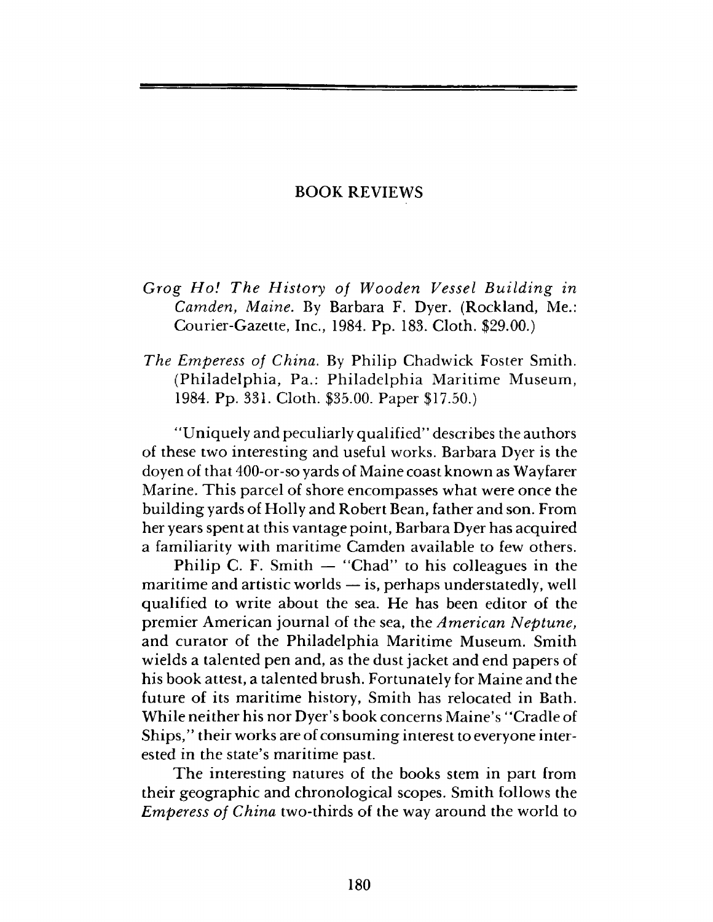### BOOK REVIEWS

*Grog H o! The History of Wooden Vessel Building in Camden*, *Maine.* By Barbara F. Dyer. (Rockland, Me.: Courier-Gazette, Inc., 1984. Pp. 183. Cloth. \$29.00.)

*The Emperess of China.* By Philip Chadwick Foster Smith. (Philadelphia, Pa.: Philadelphia Maritime Museum, 1984. Pp. 331. Cloth. \$35.00. Paper \$17.50.)

"Uniquely and peculiarly qualified" describes the authors of these two interesting and useful works. Barbara Dyer is the doyen of that 400-or-so yards of Maine coast known as Wayfarer Marine. This parcel of shore encompasses what were once the building yards of Holly and Robert Bean, father and son. From her years spent at this vantage point, Barbara Dyer has acquired a familiarity with maritime Camden available to few others.

Philip C. F. Smith  $-$  "Chad" to his colleagues in the maritime and artistic worlds — is, perhaps understatedly, well qualified to write about the sea. He has been editor of the premier American journal of the sea, the *American Neptune*, and curator of the Philadelphia Maritime Museum. Smith wields a talented pen and, as the dust jacket and end papers of his book attest, a talented brush. Fortunately for Maine and the future of its maritime history, Smith has relocated in Bath. While neither his nor Dyer's book concerns Maine's " Cradle of Ships," their works are of consuming interest to everyone interested in the state's maritime past.

The interesting natures of the books stem in part from their geographic and chronological scopes. Smith follows the *Emperess of China* two-thirds of the way around the world to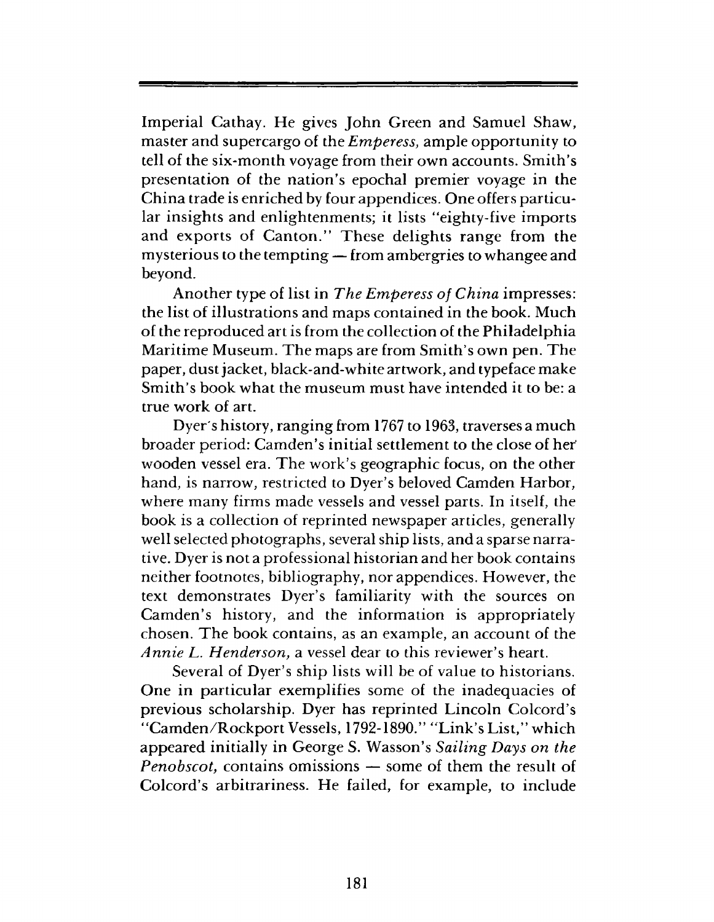Imperial Cathay. He gives John Green and Samuel Shaw, master and supercargo of the *Emperess*, ample opportunity to tell of the six-month voyage from their own accounts. Smith's presentation of the nation's epochal premier voyage in the China trade is enriched by four appendices. One offers particular insights and enlightenments; it lists "eighty-five imports and exports of Canton." These delights range from the mysterious to the tempting — from ambergries to whangee and beyond.

Another type of list in *The Emperess of China* impresses: the list of illustrations and maps contained in the book. Much of the reproduced art is from the collection of the Philadelphia Maritime Museum. The maps are from Smith's own pen. The paper, dust jacket, black-and-white artwork, and typeface make Smith's book what the museum must have intended it to be: a true work of art.

Dyer's history, ranging from 1767 to 1963, traverses a much broader period: Camden's initial settlement to the close of her' wooden vessel era. The work's geographic focus, on the other hand, is narrow, restricted to Dyer's beloved Camden Harbor, where many firms made vessels and vessel parts. In itself, the book is a collection of reprinted newspaper articles, generally well selected photographs, several ship lists, and a sparse narrative. Dyer is not a professional historian and her book contains neither footnotes, bibliography, nor appendices. However, the text demonstrates Dyer's familiarity with the sources on Camden's history, and the information is appropriately chosen. The book contains, as an example, an account of the *Annie L. Henderson,* a vessel dear to this reviewer's heart.

Several of Dyer's ship lists will be of value to historians. One in particular exemplifies some of the inadequacies of previous scholarship. Dyer has reprinted Lincoln Colcord's "Camden/Rockport Vessels, 1792-1890." "Link's List," which appeared initially in George S. Wasson's *Sailing Days on the Penobscot*, contains omissions — some of them the result of Colcord's arbitrariness. He failed, for example, to include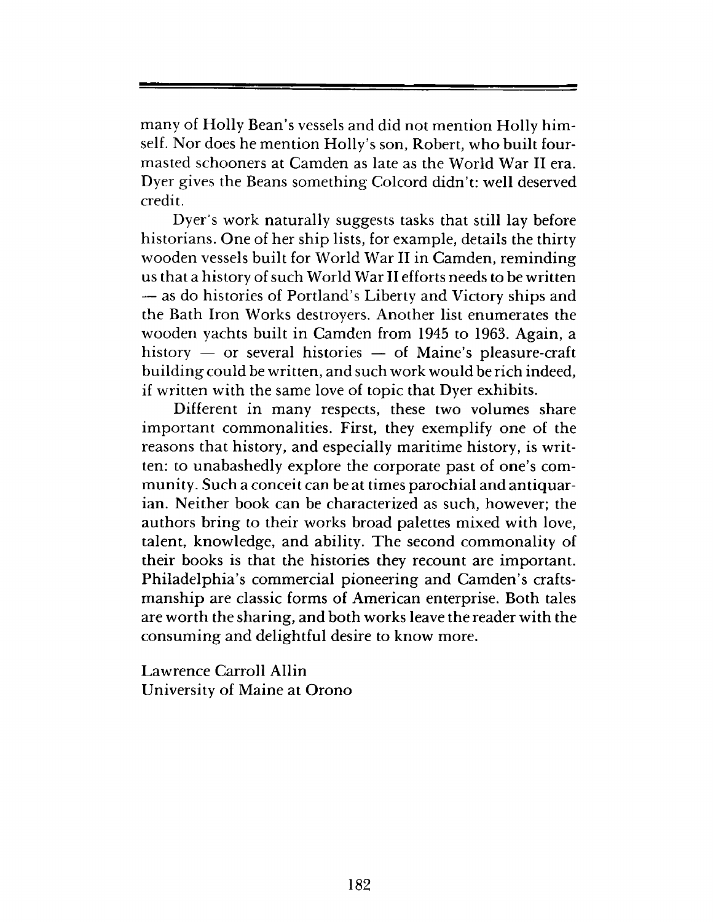many of Holly Bean's vessels and did not mention Holly himself. Nor does he mention Holly's son, Robert, who built fourmasted schooners at Camden as late as the World War II era. Dyer gives the Beans something Colcord didn't: well deserved credit.

Dyer's work naturally suggests tasks that still lay before historians. One of her ship lists, for example, details the thirty wooden vessels built for World War II in Camden, reminding us that a history of such World War II efforts needs to be written — as do histories of Portland's Liberty and Victory ships and the Bath Iron Works destroyers. Another list enumerates the wooden yachts built in Camden from 1945 to 1963. Again, a history — or several histories — of Maine's pleasure-craft building could be written, and such work would be rich indeed, if written with the same love of topic that Dyer exhibits.

Different in many respects, these two volumes share important commonalities. First, they exemplify one of the reasons that history, and especially maritime history, is written: to unabashedly explore the corporate past of one's community. Such a conceit can be at times parochial and antiquarian. Neither book can be characterized as such, however; the authors bring to their works broad palettes mixed with love, talent, knowledge, and ability. The second commonality of their books is that the histories they recount are important. Philadelphia's commercial pioneering and Camden's craftsmanship are classic forms of American enterprise. Both tales are worth the sharing, and both works leave the reader with the consuming and delightful desire to know more.

Lawrence Carroll Allin University of Maine at Orono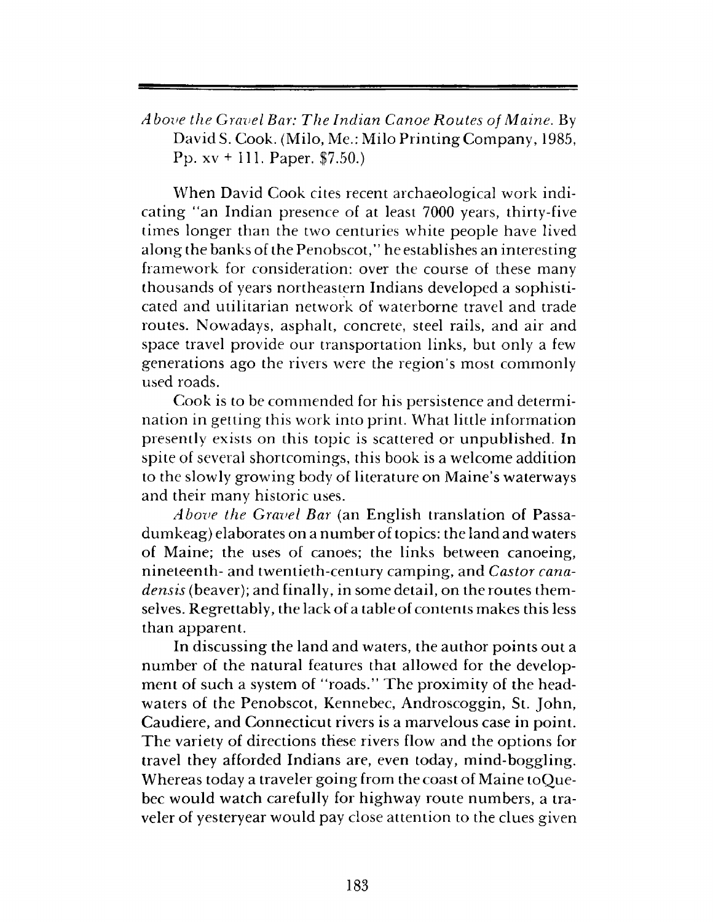*Above the Gravel Bar: The Indian Canoe Routes of Maine.* By David S. Cook. (Milo, Me.: Milo Printing Company, 1985, Pp. xv + 111. Paper. \$7.50.)

When David Cook cites recent archaeological work indicating "an Indian presence of at least 7000 years, thirty-five times longer than the two centuries white people have lived along the banks of the Penobscot,' ' he establishes an interesting framework for consideration: over the course of these many thousands of years northeastern Indians developed a sophisticated and utilitarian network of waterborne travel and trade routes. Nowadays, asphalt, concrete, steel rails, and air and space travel provide our transportation links, but only a few generations ago the rivers were the region's most commonly used roads.

Cook is to be commended for his persistence and determination in getting this work into print. What little information presently exists on this topic is scattered or unpublished. In spite of several shortcomings, this book is a welcome addition to the slowly growing body of literature on Maine's waterways and their many historic uses.

*Above the Gravel Bar* (an English translation of Passadumkeag) elaborates on a number of topics: the land and waters of Maine; the uses of canoes; the links between canoeing, nineteenth- and twentieth-century camping, and *Castor canadensis* (beaver); and finally, in some detail, on the routes themselves. Regrettably, the lack of a table of contents makes this less than apparent.

In discussing the land and waters, the author points out a number of the natural features that allowed for the development of such a system of "roads." The proximity of the headwaters of the Penobscot, Kennebec, Androscoggin, St. John, Caudiere, and Connecticut rivers is a marvelous case in point. The variety of directions these rivers flow and the options for travel they afforded Indians are, even today, mind-boggling. Whereas today a traveler going from the coast of Maine toQuebec would watch carefully for highway route numbers, a traveler of yesteryear would pay close attention to the clues given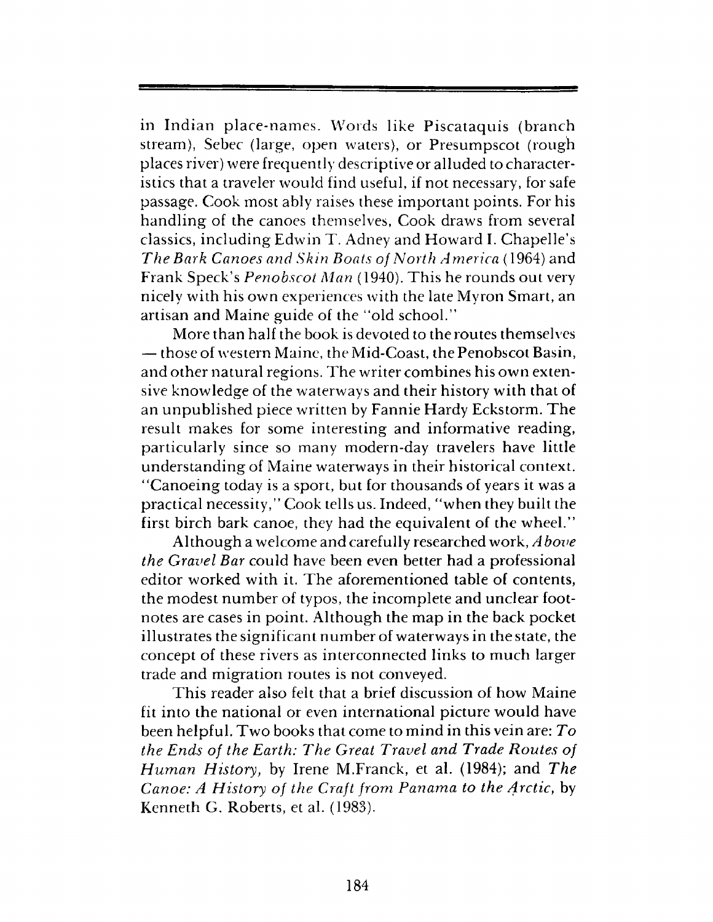in Indian place-names. Words like Piscataquis (branch stream), Sebec (large, open waters), or Presumpscot (rough places river) were frequently descriptive or alluded to characteristics that a traveler would find useful, if not necessary, for safe passage. Cook most ably raises these important points. For his handling of the canoes themselves, Cook draws from several classics, including Edwin T. Adney and Howard I. Chapelle's *The Bark Canoes and Skin Boats of North America* (1964) and Frank Speck's *Penobscot Man* (1940). This he rounds out very nicely with his own experiences with the late Myron Smart, an artisan and Maine guide of the "old school."

More than half the book is devoted to the routes themselves — those of western Maine, the Mid-Coast, the Penobscot Basin, and other natural regions. The writer combines his own extensive knowledge of the waterways and their history with that of an unpublished piece written by Fannie Hardy Eckstorm. The result makes for some interesting and informative reading, particularly since so many modern-day travelers have little understanding of Maine waterways in their historical context. "Canoeing today is a sport, but for thousands of years it was a practical necessity," Cook tells us. Indeed, "when they built the first birch bark canoe, they had the equivalent of the wheel."

Although a welcome and carefully researched work, *A hove the Gravel Bar* could have been even better had a professional editor worked with it. The aforementioned table of contents, the modest number of typos, the incomplete and unclear footnotes are cases in point. Although the map in the back pocket illustrates the significant number of waterways in the state, the concept of these rivers as interconnected links to much larger trade and migration routes is not conveyed.

This reader also felt that a brief discussion of how Maine fit into the national or even international picture would have been helpful. Two books that come to mind in this vein are: *To the Ends of the Earth: The Great Travel and Trade Routes of Human History,* by Irene M.Franck, et al. (1984); and *The Canoe: A History of the Craft from Panama to the Arctic, by* Kenneth G. Roberts, et al. (1983).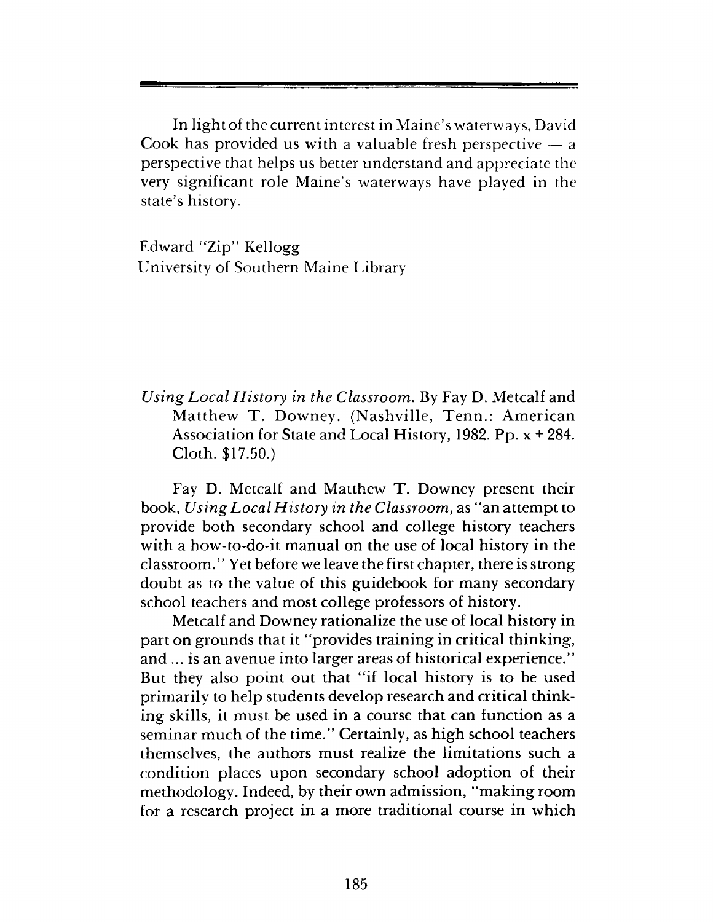In light of the current interest in Maine's waterways, David Cook has provided us with a valuable fresh perspective  $-$  a perspective that helps us better understand and appreciate the very significant role Maine's waterways have played in the state's history.

Edward "Zip" Kellogg University of Southern Maine Library

### *Using Local History in the Classroom.* By Fay D. Metcalf and Matthew T. Downey. (Nashville, Tenn.: American Association for State and Local History, 1982. Pp. x + 284. Cloth. \$17.50.)

Fay D. Metcalf and Matthew T. Downey present their book, *Using Local History in the Classroom,* as "an attempt to provide both secondary school and college history teachers with a how-to-do-it manual on the use of local history in the classroom." Yet before we leave the first chapter, there is strong doubt as to the value of this guidebook for many secondary school teachers and most college professors of history.

Metcalf and Downey rationalize the use of local history in part on grounds that it "provides training in critical thinking, and ... is an avenue into larger areas of historical experience." But they also point out that "if local history is to be used primarily to help students develop research and critical thinking skills, it must be used in a course that can function as a seminar much of the time." Certainly, as high school teachers themselves, the authors must realize the limitations such a condition places upon secondary school adoption of their methodology. Indeed, by their own admission, "making room for a research project in a more traditional course in which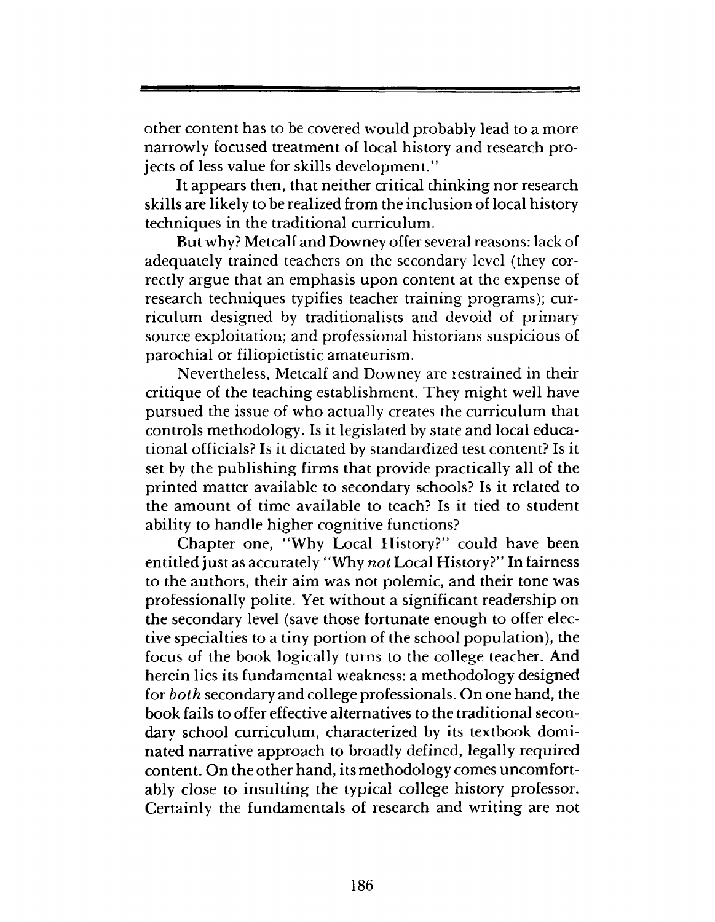other content has to be covered would probably lead to a more narrowly focused treatment of local history and research projects of less value for skills development."

It appears then, that neither critical thinking nor research skills are likely to be realized from the inclusion of local history techniques in the traditional curriculum.

But why? Metcalf and Downey offer several reasons: lack of adequately trained teachers on the secondary level {they correctly argue that an emphasis upon content at the expense of research techniques typifies teacher training programs); curriculum designed by traditionalists and devoid of primary source exploitation; and professional historians suspicious of parochial or filiopietistic amateurism.

Nevertheless, Metcalf and Downey are restrained in their critique of the teaching establishment. They might well have pursued the issue of who actually creates the curriculum that controls methodology. Is it legislated by state and local educational officials? Is it dictated by standardized test content? Is it set by the publishing firms that provide practically all of the printed matter available to secondary schools? Is it related to the amount of time available to teach? Is it tied to student ability to handle higher cognitive functions?

Chapter one, "Why Local History?" could have been entitled just as accurately " Why *not* Local History?" In fairness to the authors, their aim was not polemic, and their tone was professionally polite. Yet without a significant readership on the secondary level (save those fortunate enough to offer elective specialties to a tiny portion of the school population), the focus of the book logically turns to the college teacher. And herein lies its fundamental weakness: a methodology designed for *both* secondary and college professionals. On one hand, the book fails to offer effective alternatives to the traditional secondary school curriculum, characterized by its textbook dominated narrative approach to broadly defined, legally required content. On the other hand, its methodology comes uncomfortably close to insulting the typical college history professor. Certainly the fundamentals of research and writing are not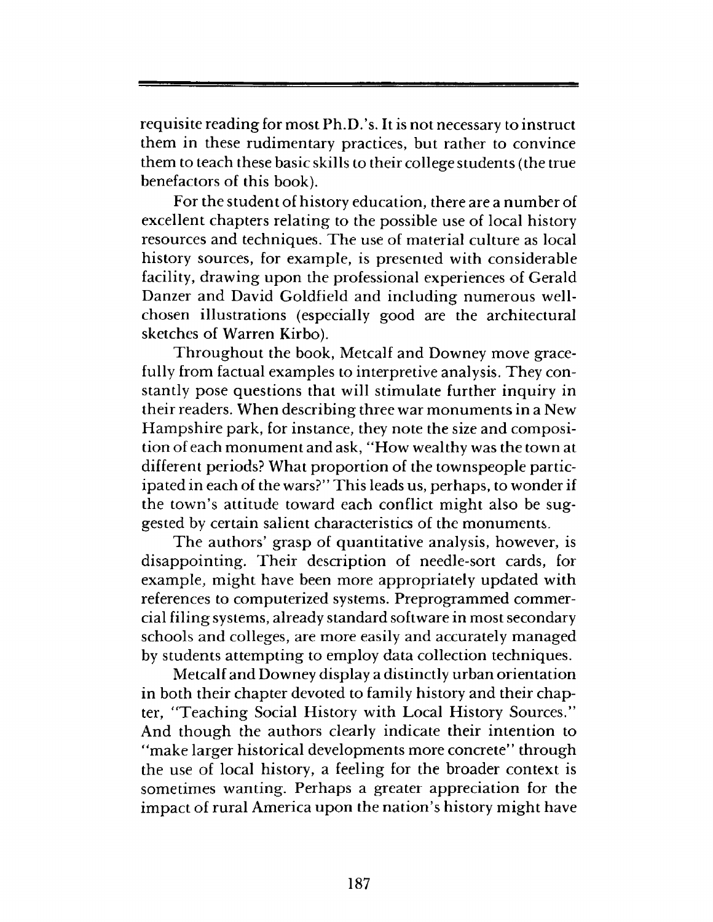requisite reading for most Ph.D.'s. It is not necessary to instruct them in these rudimentary practices, but rather to convince them to teach these basic skills to their college students (the true benefactors of this book).

For the student of history education, there are a number of excellent chapters relating to the possible use of local history resources and techniques. The use of material culture as local history sources, for example, is presented with considerable facility, drawing upon the professional experiences of Gerald Danzer and David Goldfield and including numerous wellchosen illustrations (especially good are the architectural sketches of Warren Kirbo).

Throughout the book, Metcalf and Downey move gracefully from factual examples to interpretive analysis. They constantly pose questions that will stimulate further inquiry in their readers. When describing three war monuments in a New Hampshire park, for instance, they note the size and composition of each monument and ask, "How wealthy was the town at different periods? What proportion of the townspeople participated in each of the wars?" This leads us, perhaps, to wonder if the town's attitude toward each conflict might also be suggested by certain salient characteristics of the monuments.

The authors' grasp of quantitative analysis, however, is disappointing. Their description of needle-sort cards, for example, might have been more appropriately updated with references to computerized systems. Preprogrammed commercial filing systems, already standard software in most secondary schools and colleges, are more easily and accurately managed by students attempting to employ data collection techniques.

Metcalf and Downey display a distinctly urban orientation in both their chapter devoted to family history and their chapter, "Teaching Social History with Local History Sources." And though the authors clearly indicate their intention to "make larger historical developments more concrete" through the use of local history, a feeling for the broader context is sometimes wanting. Perhaps a greater appreciation for the impact of rural America upon the nation's history might have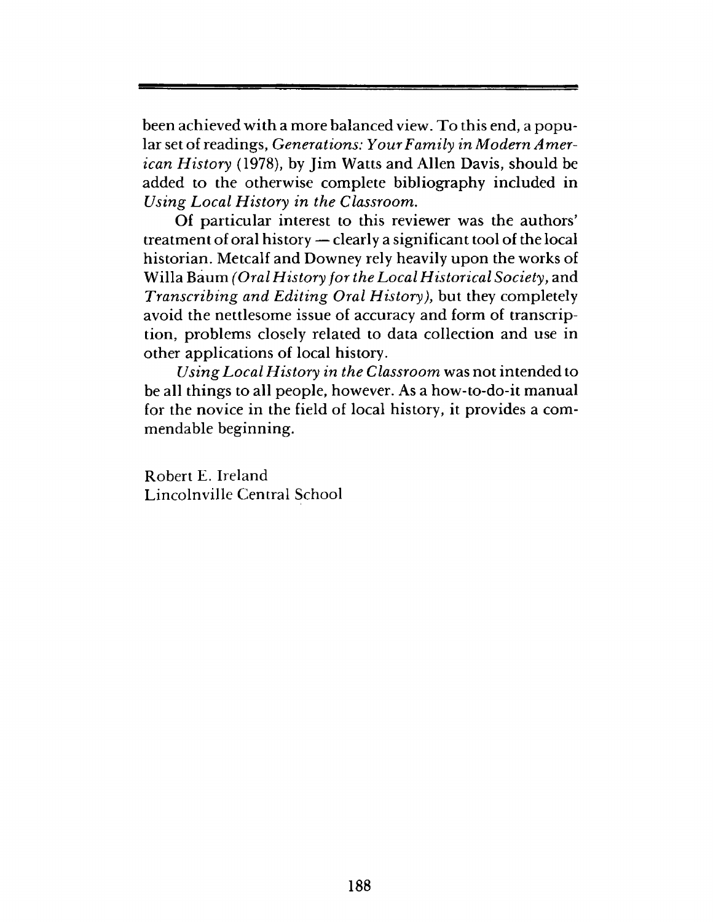been achieved with a more balanced view. To this end, a popular set of readings, *Generations: Your Family in Modern American History* (1978), by Jim Watts and Allen Davis, should be added to the otherwise complete bibliography included in *Using Local History in the Classroom.*

Of particular interest to this reviewer was the authors' treatment of oral history — clearly a significant tool of the local historian. Metcalf and Downey rely heavily upon the works of Willa Baum *(Oral History for the Local Historical Society*, and *Transcribing and Editing Oral History),* but they completely avoid the nettlesome issue of accuracy and form of transcription, problems closely related to data collection and use in other applications of local history.

*Using Local History in the Classroom* was not intended to be all things to all people, however. As a how-to-do-it manual for the novice in the field of local history, it provides a commendable beginning.

Robert E. Ireland Lincolnville Central School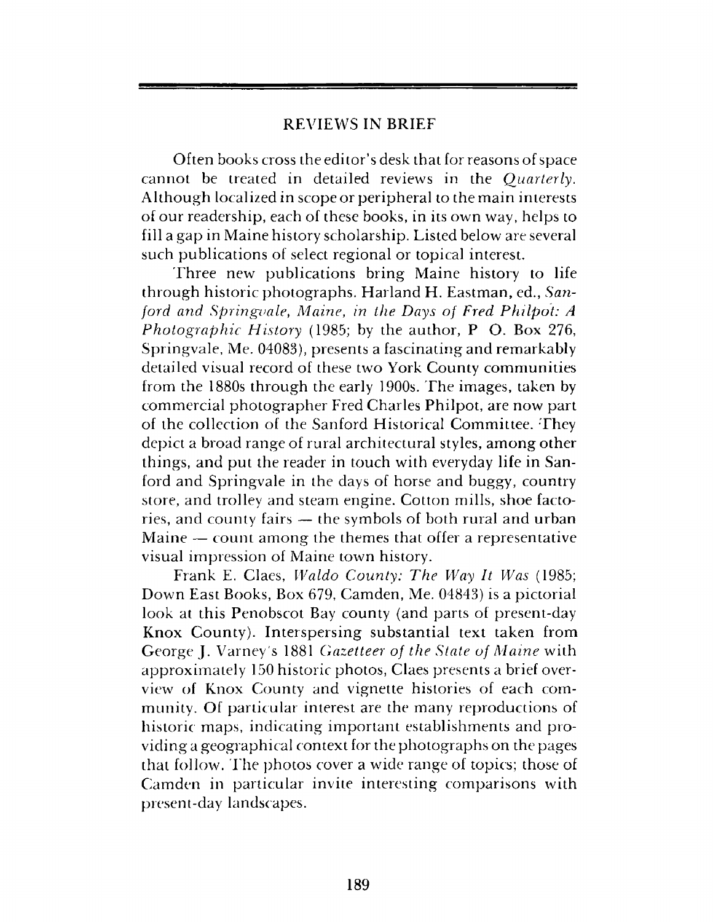### REVIEWS IN BRIEF

Often books cross the editor's desk that for reasons of space cannot be treated in detailed reviews in the *Quarterly.* Although localized in scope or peripheral to the main interests of our readership, each of these books, in its own way, helps to fill a gap in Maine history scholarship. Listed below are several such publications of select regional or topical interest.

Three new publications bring Maine history to life through historic photographs. Harland H. Eastman, ed., *Sanford and Springvale, Maine, in the Days of Fred Philpot: A Photographic History* (1985; by the author, P O. Box 276, Springvale, Me. 04083), presents a fascinating and remarkably detailed visual record of these two York County communities from the 1880s through the early 1900s. The images, taken by commercial photographer Fred Charles Philpot, are now part of the collection of the Sanford Historical Committee. They depict a broad range of rural architectural styles, among other things, and put the reader in touch with everyday life in Sanford and Springvale in the days of horse and buggy, country store, and trolley and steam engine. Cotton mills, shoe factories, and county fairs — the symbols of both rural and urban Maine — count among the themes that offer a representative visual impression of Maine town history.

Frank E. Claes, *Waldo County: The Way It Was* (1985; Down East Books, Box 679, Camden, Me. 04843) is a pictorial look at this Penobscot Bay county (and parts of present-day Knox County). Interspersing substantial text taken from George J. Varney's 1881 *Gazetteer of the State of Maine* with approximately 150 historic photos, Claes presents a brief overview of Knox County and vignette histories of each community. Of particular interest are the many reproductions of historic maps, indicating important establishments and providing a geographical context for the photographs on the pages that follow. Fhe photos cover a wide range of topics; those of Camden in particular invite interesting comparisons with present-day landscapes.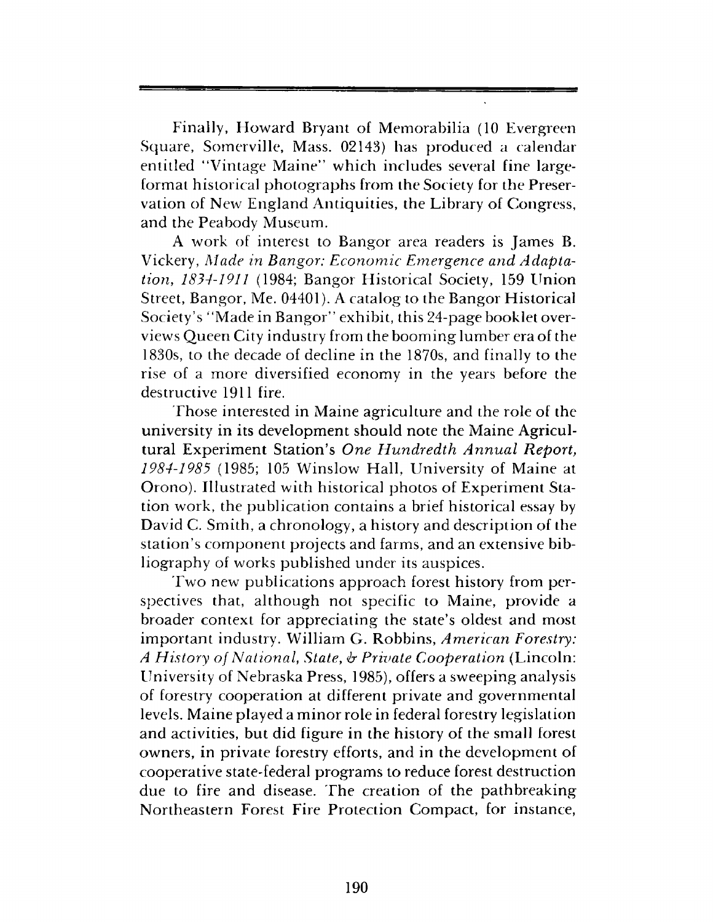Finally, Howard Bryant of Memorabilia (10 Evergreen Square, Somerville, Mass. 02143) has produced a calendar entitled "Vintage Maine" which includes several fine largeformat historical photographs from the Society for the Preservation of New England Antiquities, the Library of Congress, and the Peabody Museum.

A work of interest to Bangor area readers is James B. Vickery, *Made in Bangor: Economic Emergence and Adaptation*, *1834-1911* (1984; Bangor Historical Society, 159 Union Street, Bangor, Me. 04401). A catalog to the Bangor Historical Society's "Made in Bangor" exhibit, this 24-page booklet overviews Queen City industry from the booming lumber era of the 1830s, to the decade of decline in the 1870s, and finally to the rise of a more diversified economy in the years before the destructive 1911 fire.

Those interested in Maine agriculture and the role of the university in its development should note the Maine Agricultural Experiment Station's *One Hundredth Annual Report, 1984-1985* (1985; 105 Winslow Hall, University of Maine at Orono). Illustrated with historical photos of Experiment Station work, the publication contains a brief historical essay by David C. Smith, a chronology, a history and description of the station's component projects and farms, and an extensive bibliography of works published under its auspices.

Two new publications approach forest history from perspectives that, although not specific to Maine, provide a broader context for appreciating the state's oldest and most important industry. William G. Robbins, *American Forestry: A History of National*, *State*, *ir Private Cooperation* (Lincoln: University of Nebraska Press, 1985), offers a sweeping analysis of forestry cooperation at different private and governmental levels. Maine played a minor role in federal forestry legislation and activities, but did figure in the history of the small forest owners, in private forestry efforts, and in the development of cooperative state-federal programs to reduce forest destruction due to fire and disease. The creation of the pathbreaking Northeastern Forest Fire Protection Compact, for instance,